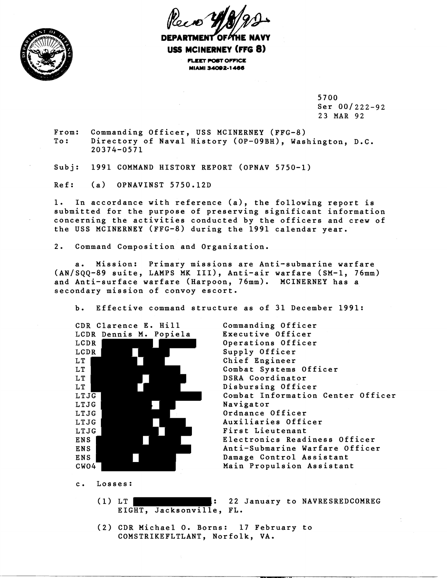



DEPARTMENT OF*P*THE NAVY **USS MCINERNEY (FFG 8) FLEET POST OFFICE MIAMI 34092-1 466** 

> 5700 Ser 00/222-92 23 MAR 92

From: Commanding Officer, USS MCINERNEY (FFG-8)<br>To: Directory of Naval History (OP-09BH), Wash Directory of Naval History (OP-09BH), Washington, D.C. 20374-0571

Subj: 1991 COMMAND HISTORY REPORT (oPNAv 5750-1)

Ref: (a) OPNAVINST 5750.12D

1. In accordance with reference (a), the following report is submitted for the purpose of preserving significant information concerning the activities conducted by the officers and crew of the USS MCINERNEY (FFG-8) during the 1991 calendar year.

2. Command Composition and Organization.

a. Mission: Primary missions are Anti-submarine warfare (AN/SOO-89 suite, LAMPS MK III), Anti-air warfare (SM-1, 76mm) and Anti-surface warfare (Harpoon, 76mm). MCINERNEY has a secondary mission of convoy escort.

b. Effective command structure as of 31 December 1991:

CDR Clarence E. Hill LCDR Dennis M. Popiela LCDR LCDR LT LT LT LT LTJG LTJG LTJG LTJG LTJG ENS ENS ENS CW04

Commanding Officer Executive Officer Operations Officer Supply Officer Chief Engineer Combat Systems Officer DSRA Coordinator Disbursing Officer Combat Information Center Officer Navigator Ordnance Officer Auxiliaries Officer First Lieutenant Electronics Readiness Officer Anti-Submarine Warfare Officer Damage Control Assistant Main Propulsion Assistant

- c. Losses:
	- (1) LT | The state of the state of the state of the state of the state of the state of the state of the state o EIGHT, Jacksonville, FL.
	- (2) CDR Michael 0. Borns: 17 February to COMSTRIKEFLTLANT, Norfolk, VA.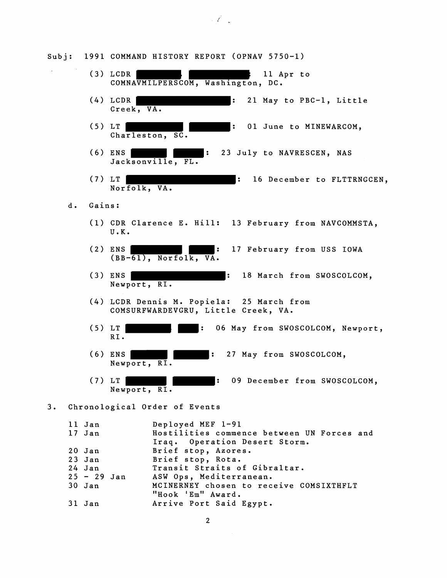(3) LCDR 11 Apr to COMNAVMILPERSCOM, Washington, DC. (4) LCDR THE RESERVIE RESERVIES CONTROLLER SERVICE PROPERTY LITTLE Creek, VA. (5) LT **TERMINEMARCOM**: 01 June to MINEWARCOM, Charleston, SC. (6) ENS THE TELL 23 July to NAVRESCEN, NAS Jacksonville, FL. (7) LT TERRIT RESOLUTION AT A LOCAL SERVICE AT A LOCAL SERVICE OF LATTRIC CENTRIC CENTRIC CENTRIC CENTRIC CENTRIC CENTRIC CENTRIC CENTRIC CENTRIC CENTRIC CENTRIC CENTRIC CENTRIC CENTRIC CENTRIC CENTRIC CENTRIC CENTRIC CENT Norfolk, VA. d. Gains: (1) CDR Clarence E. Hill: 13 February from NAVCOMMSTA, U.K. (2) ENS **The South Contract COMENT CONSTRUSS IOWA** : 17 February from USS IOWA  $(BB-61)$ , Norfolk, VA. (3) ENS | No. 2008 | 18 March from SWOSCOLCOM, Newport, RI. (4) LCDR Dennis M. Popiela: 25 March from COMSURFWARDEVGRU, Little Creek, VA. (5) LT : 06 May from SWOSCOLCOM, Newport, RI. (6) ENS : 27 May from SWOSCOLCOM, Newport, RI.

(7) LT : 09 December from SWOSCOLCOM, Newport, RI.

## 3. Chronological Order of Events

| 11 Jan        | Deployed MEF 1-91                          |
|---------------|--------------------------------------------|
| 17 Jan        | Hostilities commence between UN Forces and |
|               | Iraq. Operation Desert Storm.              |
| $20$ Jan      | Brief stop, Azores.                        |
| $23$ Jan      | Brief stop, Rota.                          |
| 24 Jan        | Transit Straits of Gibraltar.              |
| $25 - 29$ Jan | ASW Ops, Mediterranean.                    |
| $30$ Jan      | MCINERNEY chosen to receive COMSIXTHFLT    |
|               | "Hook 'Em" Award.                          |
| 31 Jan        | Arrive Port Said Egypt.                    |

 $\overline{2}$ 

Subj: 1991 COMMAND HISTORY REPORT (OPNAV 5750-1)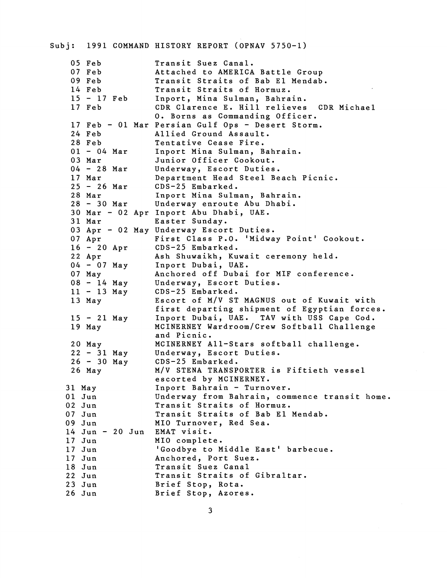| Subj:    |                     | 1991 COMMAND HISTORY REPORT (OPNAV 5750-1)          |
|----------|---------------------|-----------------------------------------------------|
|          | 05 Feb              | Transit Suez Canal.                                 |
|          | $07$ Feb            | Attached to AMERICA Battle Group                    |
|          | 09 Feb              | Transit Straits of Bab El Mendab.                   |
|          | 14 Feb              | Transit Straits of Hormuz.                          |
|          | $15 - 17$ Feb       | Inport, Mina Sulman, Bahrain.                       |
|          | 17 Feb              | CDR Clarence E. Hill relieves CDR Michael           |
|          |                     | 0. Borns as Commanding Officer.                     |
|          |                     | 17 Feb - 01 Mar Persian Gulf Ops - Desert Storm.    |
|          | 24 Feb              | Allied Ground Assault.                              |
|          | 28 Feb              | Tentative Cease Fire.                               |
|          | $01 - 04$ Mar       | Inport Mina Sulman, Bahrain.                        |
|          | 03 Mar              | Junior Officer Cookout.                             |
|          | $04 - 28$ Mar       | Underway, Escort Duties.                            |
|          | 17 Mar              | Department Head Steel Beach Picnic.                 |
|          | $25 - 26$ Mar       | CDS-25 Embarked.                                    |
|          | 28 Mar              | Inport Mina Sulman, Bahrain.                        |
|          | $28 - 30$ Mar       | Underway enroute Abu Dhabi.                         |
|          |                     | 30 Mar - 02 Apr Inport Abu Dhabi, UAE.              |
|          | 31 Mar              | Easter Sunday.                                      |
|          |                     | 03 Apr - 02 May Underway Escort Duties.             |
|          | 07 Apr              | First Class P.O. 'Midway Point' Cookout.            |
|          | $16 - 20$ Apr       | CDS-25 Embarked.                                    |
|          | 22 Apr              | Ash Shuwaikh, Kuwait ceremony held.                 |
|          | $04 - 07$ May       | Inport Dubai, UAE.                                  |
|          | 07 May              | Anchored off Dubai for MIF conference.              |
|          | $08 - 14$ May       | Underway, Escort Duties.                            |
|          | $11 - 13$ May       | CDS-25 Embarked.                                    |
|          | 13 May              | Escort of M/V ST MAGNUS out of Kuwait with          |
|          |                     | first departing shipment of Egyptian forces.        |
|          | $15 - 21$ May       | Inport Dubai, UAE. TAV with USS Cape Cod.           |
|          | $19$ May            | MCINERNEY Wardroom/Crew Softball Challenge          |
|          |                     | and Picnic.                                         |
|          | $20$ May            | MCINERNEY All-Stars softball challenge.             |
|          | $22 - 31$ May       | Underway, Escort Duties.                            |
|          | $26 - 30$ May       | CDS-25 Embarked.                                    |
|          | $26$ May            | M/V STENA TRANSPORTER is Fiftieth vessel            |
|          |                     | escorted by MCINERNEY.                              |
| 31 May   |                     | Inport Bahrain - Turnover.                          |
| $01$ Jun |                     | Underway from Bahrain, commence transit home.       |
| 02 Jun   |                     | Transit Straits of Hormuz.                          |
| $07$ Jun |                     | Transit Straits of Bab El Mendab.                   |
| $09$ Jun |                     | MIO Turnover, Red Sea.                              |
|          | $14$ Jun - $20$ Jun | EMAT visit.                                         |
| $17$ Jun |                     | MIO complete.                                       |
| $17$ Jun |                     | 'Goodbye to Middle East' barbecue.                  |
| $17$ Jun |                     | Anchored, Port Suez.                                |
| 18 Jun   |                     | Transit Suez Canal<br>Transit Straits of Gibraltar. |
| 22 Jun   |                     |                                                     |
| $23$ Jun |                     | Brief Stop, Rota.                                   |
| $26$ Jun |                     | Brief Stop, Azores.                                 |

 $\overline{\mathbf{3}}$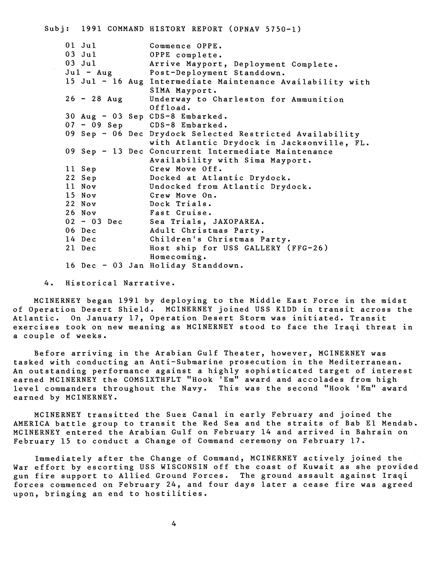## Subj: 1991 COMMAND HISTORY REPORT (OPNAV 5750-1)

|             | 01 Jul        |  | Commence OPPE.                                             |
|-------------|---------------|--|------------------------------------------------------------|
|             | $03$ Jul      |  | OPPE complete.                                             |
|             | $03$ Jul      |  | Arrive Mayport, Deployment Complete.                       |
| $Ju1 - Aug$ |               |  | Post-Deployment Standdown.                                 |
|             |               |  | 15 Jul - 16 Aug Intermediate Maintenance Availability with |
|             |               |  | SIMA Mayport.                                              |
|             | $26 - 28$ Aug |  | Underway to Charleston for Ammunition                      |
|             |               |  | Offload.                                                   |
|             |               |  | 30 Aug - 03 Sep CDS-8 Embarked.                            |
|             |               |  | 07 - 09 Sep CDS-8 Embarked.                                |
|             |               |  | 09 Sep - 06 Dec Drydock Selected Restricted Availability   |
|             |               |  | with Atlantic Drydock in Jacksonville, FL.                 |
|             |               |  | 09 Sep - 13 Dec Concurrent Intermediate Maintenance        |
|             |               |  | Availability with Sima Mayport.                            |
|             | 11 Sep        |  | Crew Move Off.                                             |
|             | 22 Sep        |  | Docked at Atlantic Drydock.                                |
|             | 11 Nov        |  | Undocked from Atlantic Drydock.                            |
|             | 15 Nov        |  | Crew Move On.                                              |
|             | <b>22 Nov</b> |  | Dock Trials.                                               |
|             | 26 Nov        |  | Fast Cruise.                                               |
|             |               |  | 02 - 03 Dec Sea Trials, JAXOPAREA.                         |
|             | 06 Dec        |  | Adult Christmas Party.                                     |
|             | 14 Dec        |  | Children's Christmas Party.                                |
|             | 21 Dec        |  | Host ship for USS GALLERY (FFG-26)                         |
|             |               |  | Homecoming.                                                |
|             |               |  | 16 Dec - 03 Jan Holiday Standdown.                         |

4. Historical Narrative.

MCINERNEY began 1991 by deploying to the Middle East Force in the midst of Operation Desert Shield. MCINERNEY joined USS KIDD in transit across the Atlantic. On January 17, Operation Desert Storm was initiated. Transit exercises took on new meaning as MCINERNEY stood to face the Iraqi threat in a couple of weeks.

Before arriving in the Arabian Gulf Theater, however, MCINERNEY was tasked with conducting an Anti-Submarine prosecution in the Mediterranean. An outstanding performance against a highly sophisticated target of interest earned MCINERNEY the COMSIXTHFLT "Hook 'Em" award and accolades from high level commanders throughout the Navy. This was the second "Hook 'Em" award earned by MCINERNEY.

MCINERNEY transitted the Suez Canal in early February and joined the AMERICA battle group to transit the Red Sea and the straits of Bab El Mendab. MCINERNEY entered the Arabian Gulf on February 14 and arrived in Bahrain on February 15 to conduct a Change of Command ceremony on February 17.

Immediately after the Change of Command, MCINERNEY actively joined the War effort by escorting USS WISCONSIN off the coast of Kuwait as she provided gun fire support to Allied Ground Forces. The ground assault against Iraqi forces commenced on February 24, and four days later a cease fire was agreed upon, bringing an end to hostilities.